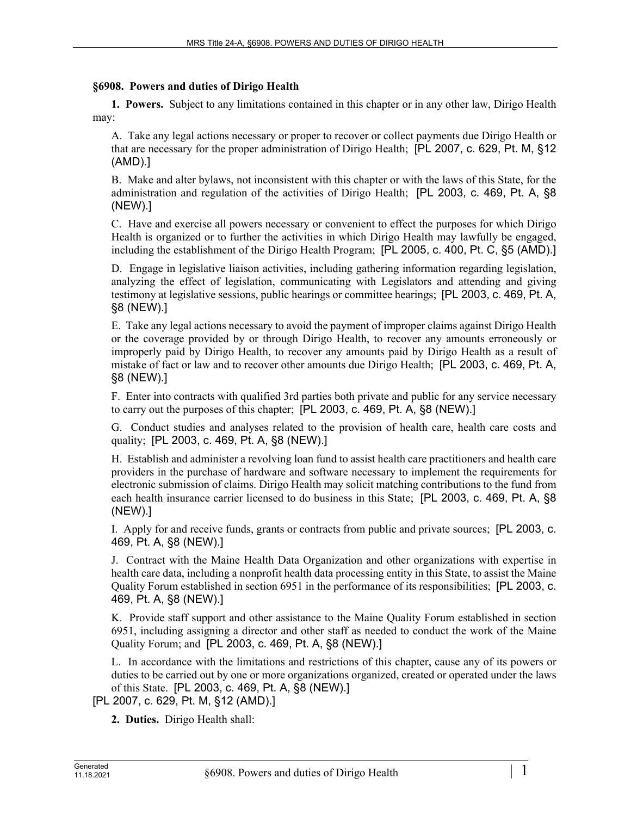## **§6908. Powers and duties of Dirigo Health**

**1. Powers.** Subject to any limitations contained in this chapter or in any other law, Dirigo Health may:

A. Take any legal actions necessary or proper to recover or collect payments due Dirigo Health or that are necessary for the proper administration of Dirigo Health; [PL 2007, c. 629, Pt. M, §12 (AMD).]

B. Make and alter bylaws, not inconsistent with this chapter or with the laws of this State, for the administration and regulation of the activities of Dirigo Health; [PL 2003, c. 469, Pt. A, §8 (NEW).]

C. Have and exercise all powers necessary or convenient to effect the purposes for which Dirigo Health is organized or to further the activities in which Dirigo Health may lawfully be engaged, including the establishment of the Dirigo Health Program; [PL 2005, c. 400, Pt. C, §5 (AMD).]

D. Engage in legislative liaison activities, including gathering information regarding legislation, analyzing the effect of legislation, communicating with Legislators and attending and giving testimony at legislative sessions, public hearings or committee hearings; [PL 2003, c. 469, Pt. A, §8 (NEW).]

E. Take any legal actions necessary to avoid the payment of improper claims against Dirigo Health or the coverage provided by or through Dirigo Health, to recover any amounts erroneously or improperly paid by Dirigo Health, to recover any amounts paid by Dirigo Health as a result of mistake of fact or law and to recover other amounts due Dirigo Health; [PL 2003, c. 469, Pt. A, §8 (NEW).]

F. Enter into contracts with qualified 3rd parties both private and public for any service necessary to carry out the purposes of this chapter; [PL 2003, c. 469, Pt. A, §8 (NEW).]

G. Conduct studies and analyses related to the provision of health care, health care costs and quality; [PL 2003, c. 469, Pt. A, §8 (NEW).]

H. Establish and administer a revolving loan fund to assist health care practitioners and health care providers in the purchase of hardware and software necessary to implement the requirements for electronic submission of claims. Dirigo Health may solicit matching contributions to the fund from each health insurance carrier licensed to do business in this State; [PL 2003, c. 469, Pt. A, §8 (NEW).]

I. Apply for and receive funds, grants or contracts from public and private sources; [PL 2003, c. 469, Pt. A, §8 (NEW).]

J. Contract with the Maine Health Data Organization and other organizations with expertise in health care data, including a nonprofit health data processing entity in this State, to assist the Maine Quality Forum established in section 6951 in the performance of its responsibilities; [PL 2003, c. 469, Pt. A, §8 (NEW).]

K. Provide staff support and other assistance to the Maine Quality Forum established in section 6951, including assigning a director and other staff as needed to conduct the work of the Maine Quality Forum; and [PL 2003, c. 469, Pt. A, §8 (NEW).]

L. In accordance with the limitations and restrictions of this chapter, cause any of its powers or duties to be carried out by one or more organizations organized, created or operated under the laws of this State. [PL 2003, c. 469, Pt. A, §8 (NEW).]

[PL 2007, c. 629, Pt. M, §12 (AMD).]

**2. Duties.** Dirigo Health shall: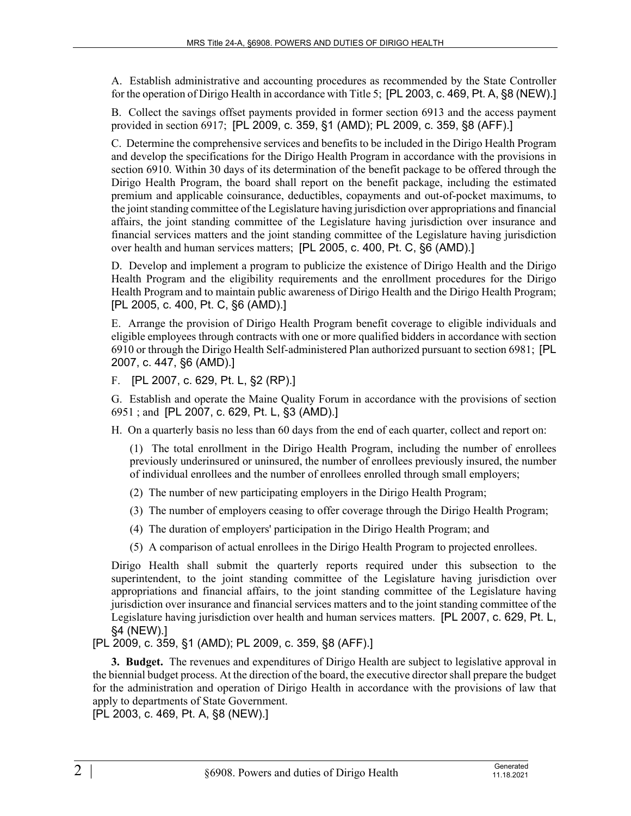A. Establish administrative and accounting procedures as recommended by the State Controller for the operation of Dirigo Health in accordance with Title 5; [PL 2003, c. 469, Pt. A, §8 (NEW).]

B. Collect the savings offset payments provided in former section 6913 and the access payment provided in section 6917; [PL 2009, c. 359, §1 (AMD); PL 2009, c. 359, §8 (AFF).]

C. Determine the comprehensive services and benefits to be included in the Dirigo Health Program and develop the specifications for the Dirigo Health Program in accordance with the provisions in section 6910. Within 30 days of its determination of the benefit package to be offered through the Dirigo Health Program, the board shall report on the benefit package, including the estimated premium and applicable coinsurance, deductibles, copayments and out-of-pocket maximums, to the joint standing committee of the Legislature having jurisdiction over appropriations and financial affairs, the joint standing committee of the Legislature having jurisdiction over insurance and financial services matters and the joint standing committee of the Legislature having jurisdiction over health and human services matters; [PL 2005, c. 400, Pt. C, §6 (AMD).]

D. Develop and implement a program to publicize the existence of Dirigo Health and the Dirigo Health Program and the eligibility requirements and the enrollment procedures for the Dirigo Health Program and to maintain public awareness of Dirigo Health and the Dirigo Health Program; [PL 2005, c. 400, Pt. C, §6 (AMD).]

E. Arrange the provision of Dirigo Health Program benefit coverage to eligible individuals and eligible employees through contracts with one or more qualified bidders in accordance with section 6910 or through the Dirigo Health Self-administered Plan authorized pursuant to section 6981; [PL 2007, c. 447, §6 (AMD).]

F. [PL 2007, c. 629, Pt. L, §2 (RP).]

G. Establish and operate the Maine Quality Forum in accordance with the provisions of section 6951 ; and [PL 2007, c. 629, Pt. L, §3 (AMD).]

H. On a quarterly basis no less than 60 days from the end of each quarter, collect and report on:

(1) The total enrollment in the Dirigo Health Program, including the number of enrollees previously underinsured or uninsured, the number of enrollees previously insured, the number of individual enrollees and the number of enrollees enrolled through small employers;

- (2) The number of new participating employers in the Dirigo Health Program;
- (3) The number of employers ceasing to offer coverage through the Dirigo Health Program;
- (4) The duration of employers' participation in the Dirigo Health Program; and
- (5) A comparison of actual enrollees in the Dirigo Health Program to projected enrollees.

Dirigo Health shall submit the quarterly reports required under this subsection to the superintendent, to the joint standing committee of the Legislature having jurisdiction over appropriations and financial affairs, to the joint standing committee of the Legislature having jurisdiction over insurance and financial services matters and to the joint standing committee of the Legislature having jurisdiction over health and human services matters. [PL 2007, c. 629, Pt. L, §4 (NEW).]

## [PL 2009, c. 359, §1 (AMD); PL 2009, c. 359, §8 (AFF).]

**3. Budget.** The revenues and expenditures of Dirigo Health are subject to legislative approval in the biennial budget process. At the direction of the board, the executive director shall prepare the budget for the administration and operation of Dirigo Health in accordance with the provisions of law that apply to departments of State Government.

[PL 2003, c. 469, Pt. A, §8 (NEW).]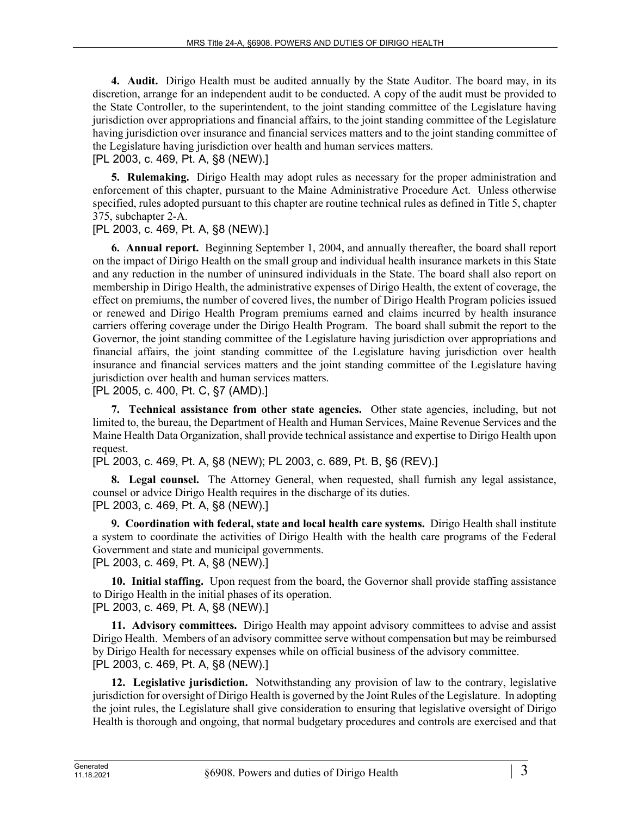**4. Audit.** Dirigo Health must be audited annually by the State Auditor. The board may, in its discretion, arrange for an independent audit to be conducted. A copy of the audit must be provided to the State Controller, to the superintendent, to the joint standing committee of the Legislature having jurisdiction over appropriations and financial affairs, to the joint standing committee of the Legislature having jurisdiction over insurance and financial services matters and to the joint standing committee of the Legislature having jurisdiction over health and human services matters.

[PL 2003, c. 469, Pt. A, §8 (NEW).]

**5. Rulemaking.** Dirigo Health may adopt rules as necessary for the proper administration and enforcement of this chapter, pursuant to the Maine Administrative Procedure Act. Unless otherwise specified, rules adopted pursuant to this chapter are routine technical rules as defined in Title 5, chapter 375, subchapter 2-A.

[PL 2003, c. 469, Pt. A, §8 (NEW).]

**6. Annual report.** Beginning September 1, 2004, and annually thereafter, the board shall report on the impact of Dirigo Health on the small group and individual health insurance markets in this State and any reduction in the number of uninsured individuals in the State. The board shall also report on membership in Dirigo Health, the administrative expenses of Dirigo Health, the extent of coverage, the effect on premiums, the number of covered lives, the number of Dirigo Health Program policies issued or renewed and Dirigo Health Program premiums earned and claims incurred by health insurance carriers offering coverage under the Dirigo Health Program. The board shall submit the report to the Governor, the joint standing committee of the Legislature having jurisdiction over appropriations and financial affairs, the joint standing committee of the Legislature having jurisdiction over health insurance and financial services matters and the joint standing committee of the Legislature having jurisdiction over health and human services matters.

[PL 2005, c. 400, Pt. C, §7 (AMD).]

**7. Technical assistance from other state agencies.** Other state agencies, including, but not limited to, the bureau, the Department of Health and Human Services, Maine Revenue Services and the Maine Health Data Organization, shall provide technical assistance and expertise to Dirigo Health upon request.

[PL 2003, c. 469, Pt. A, §8 (NEW); PL 2003, c. 689, Pt. B, §6 (REV).]

**8. Legal counsel.** The Attorney General, when requested, shall furnish any legal assistance, counsel or advice Dirigo Health requires in the discharge of its duties. [PL 2003, c. 469, Pt. A, §8 (NEW).]

**9. Coordination with federal, state and local health care systems.** Dirigo Health shall institute a system to coordinate the activities of Dirigo Health with the health care programs of the Federal Government and state and municipal governments.

[PL 2003, c. 469, Pt. A, §8 (NEW).]

**10. Initial staffing.** Upon request from the board, the Governor shall provide staffing assistance to Dirigo Health in the initial phases of its operation. [PL 2003, c. 469, Pt. A, §8 (NEW).]

**11. Advisory committees.** Dirigo Health may appoint advisory committees to advise and assist Dirigo Health. Members of an advisory committee serve without compensation but may be reimbursed by Dirigo Health for necessary expenses while on official business of the advisory committee. [PL 2003, c. 469, Pt. A, §8 (NEW).]

**12. Legislative jurisdiction.** Notwithstanding any provision of law to the contrary, legislative jurisdiction for oversight of Dirigo Health is governed by the Joint Rules of the Legislature. In adopting the joint rules, the Legislature shall give consideration to ensuring that legislative oversight of Dirigo Health is thorough and ongoing, that normal budgetary procedures and controls are exercised and that